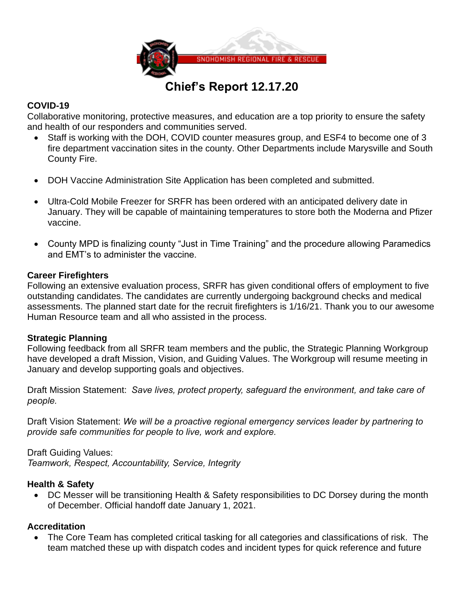

# **Chief's Report 12.17.20**

## **COVID-19**

Collaborative monitoring, protective measures, and education are a top priority to ensure the safety and health of our responders and communities served.

- Staff is working with the DOH, COVID counter measures group, and ESF4 to become one of 3 fire department vaccination sites in the county. Other Departments include Marysville and South County Fire.
- DOH Vaccine Administration Site Application has been completed and submitted.
- Ultra-Cold Mobile Freezer for SRFR has been ordered with an anticipated delivery date in January. They will be capable of maintaining temperatures to store both the Moderna and Pfizer vaccine.
- County MPD is finalizing county "Just in Time Training" and the procedure allowing Paramedics and EMT's to administer the vaccine.

## **Career Firefighters**

Following an extensive evaluation process, SRFR has given conditional offers of employment to five outstanding candidates. The candidates are currently undergoing background checks and medical assessments. The planned start date for the recruit firefighters is 1/16/21. Thank you to our awesome Human Resource team and all who assisted in the process.

## **Strategic Planning**

Following feedback from all SRFR team members and the public, the Strategic Planning Workgroup have developed a draft Mission, Vision, and Guiding Values. The Workgroup will resume meeting in January and develop supporting goals and objectives.

Draft Mission Statement: *Save lives, protect property, safeguard the environment, and take care of people.*

Draft Vision Statement: *We will be a proactive regional emergency services leader by partnering to provide safe communities for people to live, work and explore.*

Draft Guiding Values: *Teamwork, Respect, Accountability, Service, Integrity*

## **Health & Safety**

• DC Messer will be transitioning Health & Safety responsibilities to DC Dorsey during the month of December. Official handoff date January 1, 2021.

# **Accreditation**

• The Core Team has completed critical tasking for all categories and classifications of risk. The team matched these up with dispatch codes and incident types for quick reference and future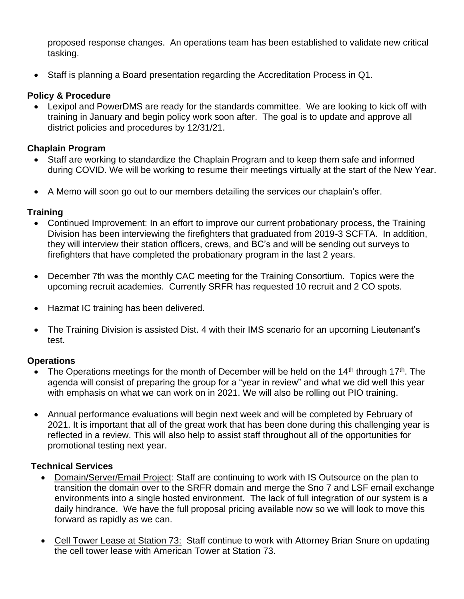proposed response changes. An operations team has been established to validate new critical tasking.

• Staff is planning a Board presentation regarding the Accreditation Process in Q1.

# **Policy & Procedure**

• Lexipol and PowerDMS are ready for the standards committee. We are looking to kick off with training in January and begin policy work soon after. The goal is to update and approve all district policies and procedures by 12/31/21.

## **Chaplain Program**

- Staff are working to standardize the Chaplain Program and to keep them safe and informed during COVID. We will be working to resume their meetings virtually at the start of the New Year.
- A Memo will soon go out to our members detailing the services our chaplain's offer.

## **Training**

- Continued Improvement: In an effort to improve our current probationary process, the Training Division has been interviewing the firefighters that graduated from 2019-3 SCFTA. In addition, they will interview their station officers, crews, and BC's and will be sending out surveys to firefighters that have completed the probationary program in the last 2 years.
- December 7th was the monthly CAC meeting for the Training Consortium. Topics were the upcoming recruit academies. Currently SRFR has requested 10 recruit and 2 CO spots.
- Hazmat IC training has been delivered.
- The Training Division is assisted Dist. 4 with their IMS scenario for an upcoming Lieutenant's test.

## **Operations**

- The Operations meetings for the month of December will be held on the 14<sup>th</sup> through 17<sup>th</sup>. The agenda will consist of preparing the group for a "year in review" and what we did well this year with emphasis on what we can work on in 2021. We will also be rolling out PIO training.
- Annual performance evaluations will begin next week and will be completed by February of 2021. It is important that all of the great work that has been done during this challenging year is reflected in a review. This will also help to assist staff throughout all of the opportunities for promotional testing next year.

# **Technical Services**

- Domain/Server/Email Project: Staff are continuing to work with IS Outsource on the plan to transition the domain over to the SRFR domain and merge the Sno 7 and LSF email exchange environments into a single hosted environment. The lack of full integration of our system is a daily hindrance. We have the full proposal pricing available now so we will look to move this forward as rapidly as we can.
- Cell Tower Lease at Station 73: Staff continue to work with Attorney Brian Snure on updating the cell tower lease with American Tower at Station 73.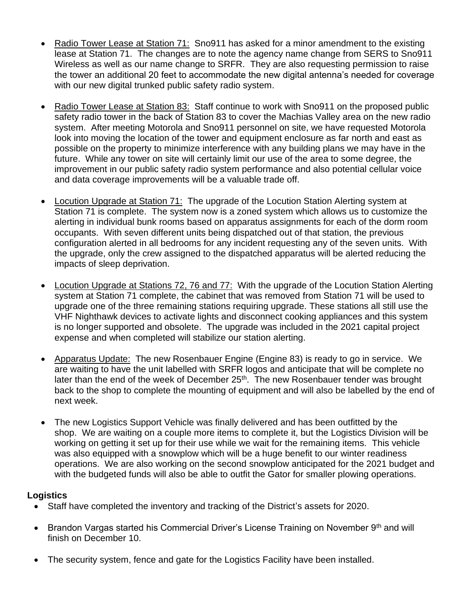- Radio Tower Lease at Station 71: Sno911 has asked for a minor amendment to the existing lease at Station 71. The changes are to note the agency name change from SERS to Sno911 Wireless as well as our name change to SRFR. They are also requesting permission to raise the tower an additional 20 feet to accommodate the new digital antenna's needed for coverage with our new digital trunked public safety radio system.
- Radio Tower Lease at Station 83: Staff continue to work with Sno911 on the proposed public safety radio tower in the back of Station 83 to cover the Machias Valley area on the new radio system. After meeting Motorola and Sno911 personnel on site, we have requested Motorola look into moving the location of the tower and equipment enclosure as far north and east as possible on the property to minimize interference with any building plans we may have in the future. While any tower on site will certainly limit our use of the area to some degree, the improvement in our public safety radio system performance and also potential cellular voice and data coverage improvements will be a valuable trade off.
- Locution Upgrade at Station 71: The upgrade of the Locution Station Alerting system at Station 71 is complete. The system now is a zoned system which allows us to customize the alerting in individual bunk rooms based on apparatus assignments for each of the dorm room occupants. With seven different units being dispatched out of that station, the previous configuration alerted in all bedrooms for any incident requesting any of the seven units. With the upgrade, only the crew assigned to the dispatched apparatus will be alerted reducing the impacts of sleep deprivation.
- Locution Upgrade at Stations 72, 76 and 77: With the upgrade of the Locution Station Alerting system at Station 71 complete, the cabinet that was removed from Station 71 will be used to upgrade one of the three remaining stations requiring upgrade. These stations all still use the VHF Nighthawk devices to activate lights and disconnect cooking appliances and this system is no longer supported and obsolete. The upgrade was included in the 2021 capital project expense and when completed will stabilize our station alerting.
- Apparatus Update: The new Rosenbauer Engine (Engine 83) is ready to go in service. We are waiting to have the unit labelled with SRFR logos and anticipate that will be complete no later than the end of the week of December 25<sup>th</sup>. The new Rosenbauer tender was brought back to the shop to complete the mounting of equipment and will also be labelled by the end of next week.
- The new Logistics Support Vehicle was finally delivered and has been outfitted by the shop. We are waiting on a couple more items to complete it, but the Logistics Division will be working on getting it set up for their use while we wait for the remaining items. This vehicle was also equipped with a snowplow which will be a huge benefit to our winter readiness operations. We are also working on the second snowplow anticipated for the 2021 budget and with the budgeted funds will also be able to outfit the Gator for smaller plowing operations.

# **Logistics**

- Staff have completed the inventory and tracking of the District's assets for 2020.
- Brandon Vargas started his Commercial Driver's License Training on November  $9<sup>th</sup>$  and will finish on December 10.
- The security system, fence and gate for the Logistics Facility have been installed.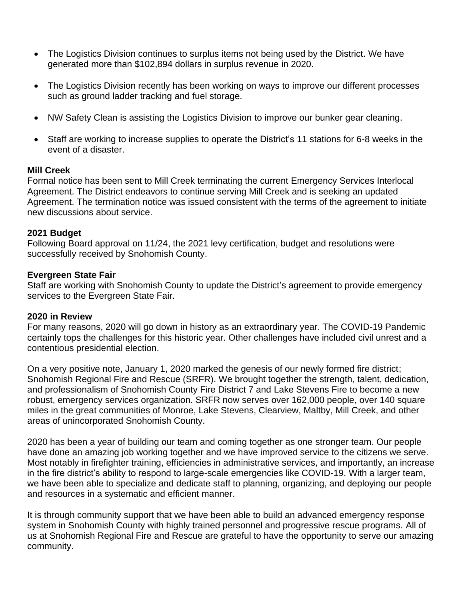- The Logistics Division continues to surplus items not being used by the District. We have generated more than \$102,894 dollars in surplus revenue in 2020.
- The Logistics Division recently has been working on ways to improve our different processes such as ground ladder tracking and fuel storage.
- NW Safety Clean is assisting the Logistics Division to improve our bunker gear cleaning.
- Staff are working to increase supplies to operate the District's 11 stations for 6-8 weeks in the event of a disaster.

#### **Mill Creek**

Formal notice has been sent to Mill Creek terminating the current Emergency Services Interlocal Agreement. The District endeavors to continue serving Mill Creek and is seeking an updated Agreement. The termination notice was issued consistent with the terms of the agreement to initiate new discussions about service.

#### **2021 Budget**

Following Board approval on 11/24, the 2021 levy certification, budget and resolutions were successfully received by Snohomish County.

#### **Evergreen State Fair**

Staff are working with Snohomish County to update the District's agreement to provide emergency services to the Evergreen State Fair.

#### **2020 in Review**

For many reasons, 2020 will go down in history as an extraordinary year. The COVID-19 Pandemic certainly tops the challenges for this historic year. Other challenges have included civil unrest and a contentious presidential election.

On a very positive note, January 1, 2020 marked the genesis of our newly formed fire district; Snohomish Regional Fire and Rescue (SRFR). We brought together the strength, talent, dedication, and professionalism of Snohomish County Fire District 7 and Lake Stevens Fire to become a new robust, emergency services organization. SRFR now serves over 162,000 people, over 140 square miles in the great communities of Monroe, Lake Stevens, Clearview, Maltby, Mill Creek, and other areas of unincorporated Snohomish County.

2020 has been a year of building our team and coming together as one stronger team. Our people have done an amazing job working together and we have improved service to the citizens we serve. Most notably in firefighter training, efficiencies in administrative services, and importantly, an increase in the fire district's ability to respond to large-scale emergencies like COVID-19. With a larger team, we have been able to specialize and dedicate staff to planning, organizing, and deploying our people and resources in a systematic and efficient manner.

It is through community support that we have been able to build an advanced emergency response system in Snohomish County with highly trained personnel and progressive rescue programs. All of us at Snohomish Regional Fire and Rescue are grateful to have the opportunity to serve our amazing community.